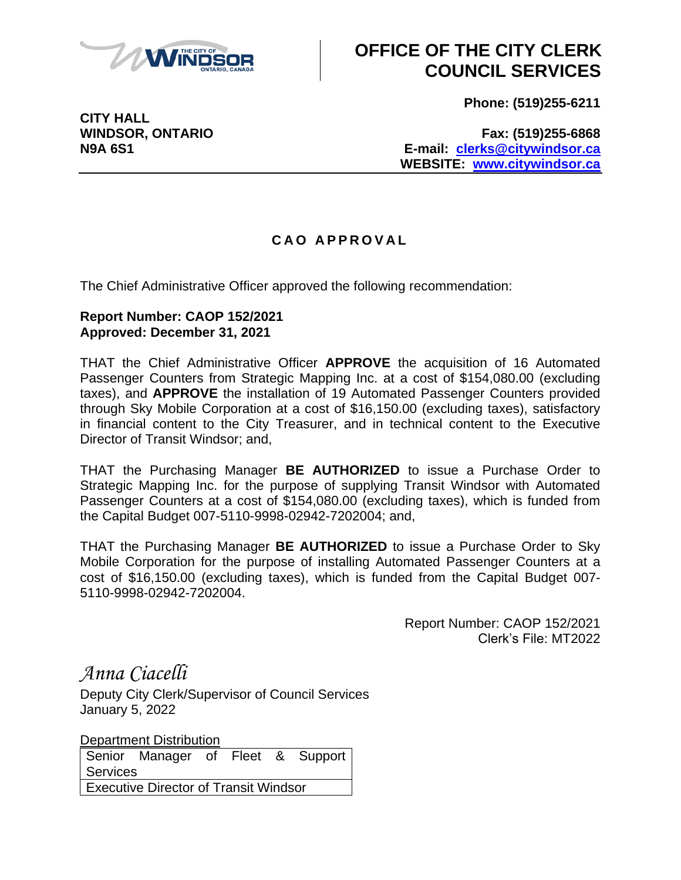

# **OFFICE OF THE CITY CLERK COUNCIL SERVICES**

**Phone: (519)255-6211**

**CITY HALL**

**WINDSOR, ONTARIO Fax: (519)255-6868 N9A 6S1 E-mail: [clerks@citywindsor.ca](mailto:clerks@citywindsor.ca) WEBSITE: [www.citywindsor.ca](http://www.citywindsor.ca/)**

### **C A O A P P R O V A L**

The Chief Administrative Officer approved the following recommendation:

#### **Report Number: CAOP 152/2021 Approved: December 31, 2021**

THAT the Chief Administrative Officer **APPROVE** the acquisition of 16 Automated Passenger Counters from Strategic Mapping Inc. at a cost of \$154,080.00 (excluding taxes), and **APPROVE** the installation of 19 Automated Passenger Counters provided through Sky Mobile Corporation at a cost of \$16,150.00 (excluding taxes), satisfactory in financial content to the City Treasurer, and in technical content to the Executive Director of Transit Windsor; and,

THAT the Purchasing Manager **BE AUTHORIZED** to issue a Purchase Order to Strategic Mapping Inc. for the purpose of supplying Transit Windsor with Automated Passenger Counters at a cost of \$154,080.00 (excluding taxes), which is funded from the Capital Budget 007-5110-9998-02942-7202004; and,

THAT the Purchasing Manager **BE AUTHORIZED** to issue a Purchase Order to Sky Mobile Corporation for the purpose of installing Automated Passenger Counters at a cost of \$16,150.00 (excluding taxes), which is funded from the Capital Budget 007- 5110-9998-02942-7202004.

> Report Number: CAOP 152/2021 Clerk's File: MT2022

## *Anna Ciacelli*

Deputy City Clerk/Supervisor of Council Services January 5, 2022

Department Distribution Senior Manager of Fleet & Support **Services** Executive Director of Transit Windsor